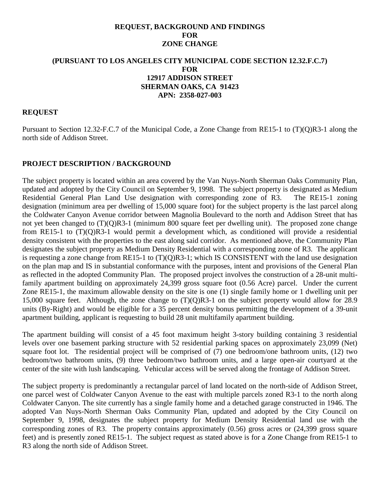#### **REQUEST, BACKGROUND AND FINDINGS FOR ZONE CHANGE**

#### **(PURSUANT TO LOS ANGELES CITY MUNICIPAL CODE SECTION 12.32.F.C.7) FOR 12917 ADDISON STREET SHERMAN OAKS, CA 91423 APN: 2358-027-003**

#### **REQUEST**

Pursuant to Section 12.32-F.C.7 of the Municipal Code, a Zone Change from RE15-1 to (T)(Q)R3-1 along the north side of Addison Street.

#### **PROJECT DESCRIPTION / BACKGROUND**

The subject property is located within an area covered by the Van Nuys-North Sherman Oaks Community Plan, updated and adopted by the City Council on September 9, 1998. The subject property is designated as Medium Residential General Plan Land Use designation with corresponding zone of R3. The RE15-1 zoning designation (minimum area per dwelling of 15,000 square foot) for the subject property is the last parcel along the Coldwater Canyon Avenue corridor between Magnolia Boulevard to the north and Addison Street that has not yet been changed to (T)(Q)R3-1 (minimum 800 square feet per dwelling unit). The proposed zone change from RE15-1 to (T)(Q)R3-1 would permit a development which, as conditioned will provide a residential density consistent with the properties to the east along said corridor. As mentioned above, the Community Plan designates the subject property as Medium Density Residential with a corresponding zone of R3. The applicant is requesting a zone change from RE15-1 to (T)(Q)R3-1; which IS CONSISTENT with the land use designation on the plan map and IS in substantial conformance with the purposes, intent and provisions of the General Plan as reflected in the adopted Community Plan. The proposed project involves the construction of a 28-unit multifamily apartment building on approximately 24,399 gross square foot (0.56 Acre) parcel. Under the current Zone RE15-1, the maximum allowable density on the site is one (1) single family home or 1 dwelling unit per 15,000 square feet. Although, the zone change to (T)(Q)R3-1 on the subject property would allow for 28.9 units (By-Right) and would be eligible for a 35 percent density bonus permitting the development of a 39-unit apartment building, applicant is requesting to build 28 unit multifamily apartment building.

The apartment building will consist of a 45 foot maximum height 3-story building containing 3 residential levels over one basement parking structure with 52 residential parking spaces on approximately 23,099 (Net) square foot lot. The residential project will be comprised of (7) one bedroom/one bathroom units, (12) two bedroom/two bathroom units, (9) three bedroom/two bathroom units, and a large open-air courtyard at the center of the site with lush landscaping. Vehicular access will be served along the frontage of Addison Street.

The subject property is predominantly a rectangular parcel of land located on the north-side of Addison Street, one parcel west of Coldwater Canyon Avenue to the east with multiple parcels zoned R3-1 to the north along Coldwater Canyon. The site currently has a single family home and a detached garage constructed in 1946. The adopted Van Nuys-North Sherman Oaks Community Plan, updated and adopted by the City Council on September 9, 1998, designates the subject property for Medium Density Residential land use with the corresponding zones of R3. The property contains approximately (0.56) gross acres or (24,399 gross square feet) and is presently zoned RE15-1. The subject request as stated above is for a Zone Change from RE15-1 to R3 along the north side of Addison Street.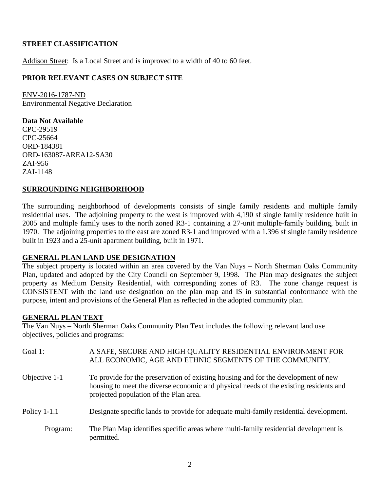## **STREET CLASSIFICATION**

Addison Street: Is a Local Street and is improved to a width of 40 to 60 feet.

## **PRIOR RELEVANT CASES ON SUBJECT SITE**

ENV-2016-1787-ND Environmental Negative Declaration

**Data Not Available** CPC-29519 CPC-25664 ORD-184381 ORD-163087-AREA12-SA30 ZAI-956 ZAI-1148

## **SURROUNDING NEIGHBORHOOD**

The surrounding neighborhood of developments consists of single family residents and multiple family residential uses. The adjoining property to the west is improved with 4,190 sf single family residence built in 2005 and multiple family uses to the north zoned R3-1 containing a 27-unit multiple-family building, built in 1970. The adjoining properties to the east are zoned R3-1 and improved with a 1.396 sf single family residence built in 1923 and a 25-unit apartment building, built in 1971.

#### **GENERAL PLAN LAND USE DESIGNATION**

The subject property is located within an area covered by the Van Nuys – North Sherman Oaks Community Plan, updated and adopted by the City Council on September 9, 1998. The Plan map designates the subject property as Medium Density Residential, with corresponding zones of R3. The zone change request is CONSISTENT with the land use designation on the plan map and IS in substantial conformance with the purpose, intent and provisions of the General Plan as reflected in the adopted community plan.

#### **GENERAL PLAN TEXT**

The Van Nuys – North Sherman Oaks Community Plan Text includes the following relevant land use objectives, policies and programs:

| Goal 1:        |          | A SAFE, SECURE AND HIGH QUALITY RESIDENTIAL ENVIRONMENT FOR<br>ALL ECONOMIC, AGE AND ETHNIC SEGMENTS OF THE COMMUNITY.                                                                                                |
|----------------|----------|-----------------------------------------------------------------------------------------------------------------------------------------------------------------------------------------------------------------------|
| Objective 1-1  |          | To provide for the preservation of existing housing and for the development of new<br>housing to meet the diverse economic and physical needs of the existing residents and<br>projected population of the Plan area. |
| Policy $1-1.1$ |          | Designate specific lands to provide for adequate multi-family residential development.                                                                                                                                |
|                | Program: | The Plan Map identifies specific areas where multi-family residential development is<br>permitted.                                                                                                                    |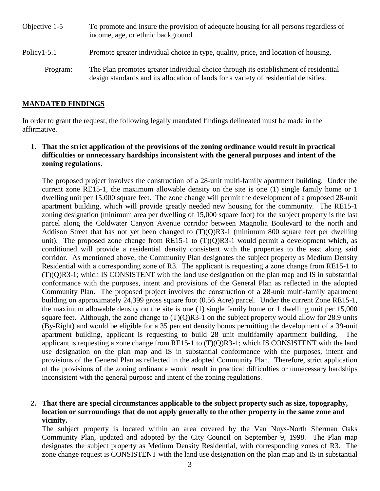- Objective 1-5 To promote and insure the provision of adequate housing for all persons regardless of income, age, or ethnic background. Policy1-5.1 Promote greater individual choice in type, quality, price, and location of housing.
	- Program: The Plan promotes greater individual choice through its establishment of residential design standards and its allocation of lands for a variety of residential densities.

## **MANDATED FINDINGS**

In order to grant the request, the following legally mandated findings delineated must be made in the affirmative.

**1. That the strict application of the provisions of the zoning ordinance would result in practical difficulties or unnecessary hardships inconsistent with the general purposes and intent of the zoning regulations.**

The proposed project involves the construction of a 28-unit multi-family apartment building. Under the current zone RE15-1, the maximum allowable density on the site is one (1) single family home or 1 dwelling unit per 15,000 square feet. The zone change will permit the development of a proposed 28-unit apartment building, which will provide greatly needed new housing for the community. The RE15-1 zoning designation (minimum area per dwelling of 15,000 square foot) for the subject property is the last parcel along the Coldwater Canyon Avenue corridor between Magnolia Boulevard to the north and Addison Street that has not yet been changed to  $(T)(Q)R3-1$  (minimum 800 square feet per dwelling unit). The proposed zone change from RE15-1 to  $(T)(O)R3-1$  would permit a development which, as conditioned will provide a residential density consistent with the properties to the east along said corridor. As mentioned above, the Community Plan designates the subject property as Medium Density Residential with a corresponding zone of R3. The applicant is requesting a zone change from RE15-1 to (T)(Q)R3-1; which IS CONSISTENT with the land use designation on the plan map and IS in substantial conformance with the purposes, intent and provisions of the General Plan as reflected in the adopted Community Plan. The proposed project involves the construction of a 28-unit multi-family apartment building on approximately 24,399 gross square foot (0.56 Acre) parcel. Under the current Zone RE15-1, the maximum allowable density on the site is one (1) single family home or 1 dwelling unit per 15,000 square feet. Although, the zone change to  $(T)(Q)R3-1$  on the subject property would allow for 28.9 units (By-Right) and would be eligible for a 35 percent density bonus permitting the development of a 39-unit apartment building, applicant is requesting to build 28 unit multifamily apartment building. The applicant is requesting a zone change from RE15-1 to (T)(Q)R3-1; which IS CONSISTENT with the land use designation on the plan map and IS in substantial conformance with the purposes, intent and provisions of the General Plan as reflected in the adopted Community Plan. Therefore, strict application of the provisions of the zoning ordinance would result in practical difficulties or unnecessary hardships inconsistent with the general purpose and intent of the zoning regulations.

## **2. That there are special circumstances applicable to the subject property such as size, topography, location or surroundings that do not apply generally to the other property in the same zone and vicinity.**

The subject property is located within an area covered by the Van Nuys-North Sherman Oaks Community Plan, updated and adopted by the City Council on September 9, 1998. The Plan map designates the subject property as Medium Density Residential, with corresponding zones of R3. The zone change request is CONSISTENT with the land use designation on the plan map and IS in substantial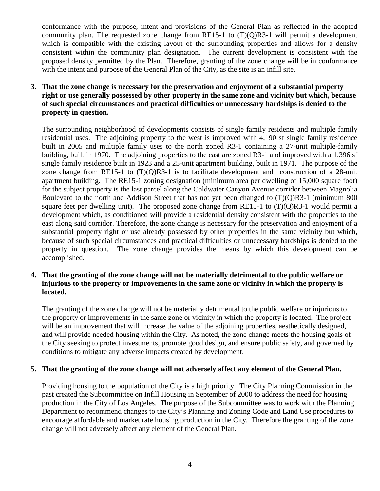conformance with the purpose, intent and provisions of the General Plan as reflected in the adopted community plan. The requested zone change from RE15-1 to  $(T)(Q)R3-1$  will permit a development which is compatible with the existing layout of the surrounding properties and allows for a density consistent within the community plan designation. The current development is consistent with the proposed density permitted by the Plan. Therefore, granting of the zone change will be in conformance with the intent and purpose of the General Plan of the City, as the site is an infill site.

### **3. That the zone change is necessary for the preservation and enjoyment of a substantial property right or use generally possessed by other property in the same zone and vicinity but which, because of such special circumstances and practical difficulties or unnecessary hardships is denied to the property in question.**

The surrounding neighborhood of developments consists of single family residents and multiple family residential uses. The adjoining property to the west is improved with 4,190 sf single family residence built in 2005 and multiple family uses to the north zoned R3-1 containing a 27-unit multiple-family building, built in 1970. The adjoining properties to the east are zoned R3-1 and improved with a 1.396 sf single family residence built in 1923 and a 25-unit apartment building, built in 1971. The purpose of the zone change from RE15-1 to  $(T)(Q)R3-1$  is to facilitate development and construction of a 28-unit apartment building. The RE15-1 zoning designation (minimum area per dwelling of 15,000 square foot) for the subject property is the last parcel along the Coldwater Canyon Avenue corridor between Magnolia Boulevard to the north and Addison Street that has not yet been changed to (T)(Q)R3-1 (minimum 800 square feet per dwelling unit). The proposed zone change from RE15-1 to  $(T)(Q)R3-1$  would permit a development which, as conditioned will provide a residential density consistent with the properties to the east along said corridor. Therefore, the zone change is necessary for the preservation and enjoyment of a substantial property right or use already possessed by other properties in the same vicinity but which, because of such special circumstances and practical difficulties or unnecessary hardships is denied to the property in question. The zone change provides the means by which this development can be accomplished.

#### **4. That the granting of the zone change will not be materially detrimental to the public welfare or injurious to the property or improvements in the same zone or vicinity in which the property is located.**

The granting of the zone change will not be materially detrimental to the public welfare or injurious to the property or improvements in the same zone or vicinity in which the property is located. The project will be an improvement that will increase the value of the adjoining properties, aesthetically designed, and will provide needed housing within the City. As noted, the zone change meets the housing goals of the City seeking to protect investments, promote good design, and ensure public safety, and governed by conditions to mitigate any adverse impacts created by development.

#### **5. That the granting of the zone change will not adversely affect any element of the General Plan.**

Providing housing to the population of the City is a high priority. The City Planning Commission in the past created the Subcommittee on Infill Housing in September of 2000 to address the need for housing production in the City of Los Angeles. The purpose of the Subcommittee was to work with the Planning Department to recommend changes to the City's Planning and Zoning Code and Land Use procedures to encourage affordable and market rate housing production in the City. Therefore the granting of the zone change will not adversely affect any element of the General Plan.